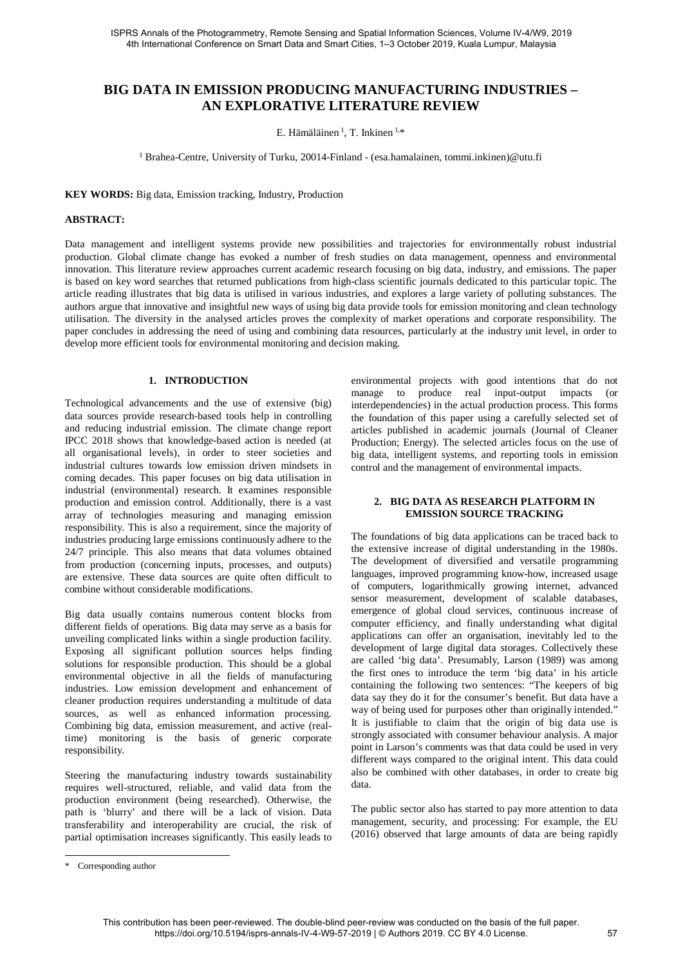# **BIG DATA IN EMISSION PRODUCING MANUFACTURING INDUSTRIES – AN EXPLORATIVE LITERATURE REVIEW**

E. Hämäläinen  $1$ , T. Inkinen  $1,*$ 

<sup>1</sup> Brahea-Centre, University of Turku, 20014-Finland - (esa.hamalainen, tommi.inkinen)@utu.fi

**KEY WORDS:** Big data, Emission tracking, Industry, Production

### **ABSTRACT:**

Data management and intelligent systems provide new possibilities and trajectories for environmentally robust industrial production. Global climate change has evoked a number of fresh studies on data management, openness and environmental innovation. This literature review approaches current academic research focusing on big data, industry, and emissions. The paper is based on key word searches that returned publications from high-class scientific journals dedicated to this particular topic. The article reading illustrates that big data is utilised in various industries, and explores a large variety of polluting substances. The authors argue that innovative and insightful new ways of using big data provide tools for emission monitoring and clean technology utilisation. The diversity in the analysed articles proves the complexity of market operations and corporate responsibility. The paper concludes in addressing the need of using and combining data resources, particularly at the industry unit level, in order to develop more efficient tools for environmental monitoring and decision making.

### **1. INTRODUCTION**

Technological advancements and the use of extensive (big) data sources provide research-based tools help in controlling and reducing industrial emission. The climate change report IPCC 2018 shows that knowledge-based action is needed (at all organisational levels), in order to steer societies and industrial cultures towards low emission driven mindsets in coming decades. This paper focuses on big data utilisation in industrial (environmental) research. It examines responsible production and emission control. Additionally, there is a vast array of technologies measuring and managing emission responsibility. This is also a requirement, since the majority of industries producing large emissions continuously adhere to the 24/7 principle. This also means that data volumes obtained from production (concerning inputs, processes, and outputs) are extensive. These data sources are quite often difficult to combine without considerable modifications.

Big data usually contains numerous content blocks from different fields of operations. Big data may serve as a basis for unveiling complicated links within a single production facility. Exposing all significant pollution sources helps finding solutions for responsible production. This should be a global environmental objective in all the fields of manufacturing industries. Low emission development and enhancement of cleaner production requires understanding a multitude of data sources, as well as enhanced information processing. Combining big data, emission measurement, and active (realtime) monitoring is the basis of generic corporate responsibility.

Steering the manufacturing industry towards sustainability requires well-structured, reliable, and valid data from the production environment (being researched). Otherwise, the path is 'blurry' and there will be a lack of vision. Data transferability and interoperability are crucial, the risk of partial optimisation increases significantly. This easily leads to

environmental projects with good intentions that do not manage to produce real input-output impacts (or interdependencies) in the actual production process. This forms the foundation of this paper using a carefully selected set of articles published in academic journals (Journal of Cleaner Production; Energy). The selected articles focus on the use of big data, intelligent systems, and reporting tools in emission control and the management of environmental impacts.

### **2. BIG DATA AS RESEARCH PLATFORM IN EMISSION SOURCE TRACKING**

The foundations of big data applications can be traced back to the extensive increase of digital understanding in the 1980s. The development of diversified and versatile programming languages, improved programming know-how, increased usage of computers, logarithmically growing internet, advanced sensor measurement, development of scalable databases, emergence of global cloud services, continuous increase of computer efficiency, and finally understanding what digital applications can offer an organisation, inevitably led to the development of large digital data storages. Collectively these are called 'big data'. Presumably, Larson (1989) was among the first ones to introduce the term 'big data' in his article containing the following two sentences: "The keepers of big data say they do it for the consumer's benefit. But data have a way of being used for purposes other than originally intended." It is justifiable to claim that the origin of big data use is strongly associated with consumer behaviour analysis. A major point in Larson's comments was that data could be used in very different ways compared to the original intent. This data could also be combined with other databases, in order to create big data.

The public sector also has started to pay more attention to data management, security, and processing: For example, the EU (2016) observed that large amounts of data are being rapidly

<sup>\*</sup> Corresponding author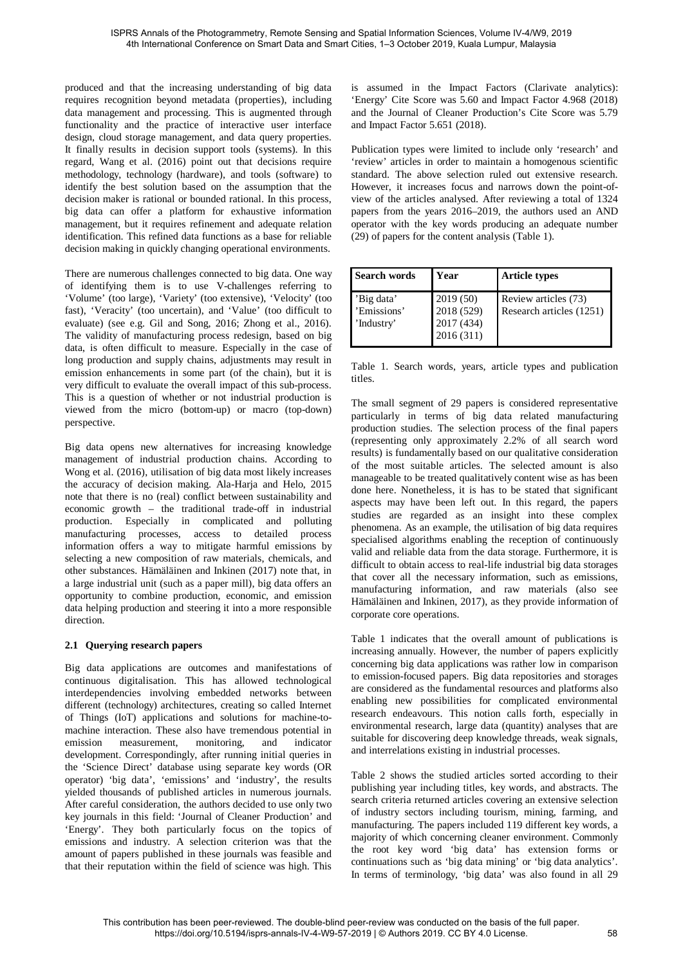produced and that the increasing understanding of big data requires recognition beyond metadata (properties), including data management and processing. This is augmented through functionality and the practice of interactive user interface design, cloud storage management, and data query properties. It finally results in decision support tools (systems). In this regard, Wang et al. (2016) point out that decisions require methodology, technology (hardware), and tools (software) to identify the best solution based on the assumption that the decision maker is rational or bounded rational. In this process, big data can offer a platform for exhaustive information management, but it requires refinement and adequate relation identification. This refined data functions as a base for reliable decision making in quickly changing operational environments.

There are numerous challenges connected to big data. One way of identifying them is to use V-challenges referring to 'Volume' (too large), 'Variety' (too extensive), 'Velocity' (too fast), 'Veracity' (too uncertain), and 'Value' (too difficult to evaluate) (see e.g. Gil and Song, 2016; Zhong et al., 2016). The validity of manufacturing process redesign, based on big data, is often difficult to measure. Especially in the case of long production and supply chains, adjustments may result in emission enhancements in some part (of the chain), but it is very difficult to evaluate the overall impact of this sub-process. This is a question of whether or not industrial production is viewed from the micro (bottom-up) or macro (top-down) perspective.

Big data opens new alternatives for increasing knowledge management of industrial production chains. According to Wong et al. (2016), utilisation of big data most likely increases the accuracy of decision making. Ala-Harja and Helo, 2015 note that there is no (real) conflict between sustainability and economic growth – the traditional trade-off in industrial production. Especially in complicated and polluting manufacturing processes, access to detailed process information offers a way to mitigate harmful emissions by selecting a new composition of raw materials, chemicals, and other substances. Hämäläinen and Inkinen (2017) note that, in a large industrial unit (such as a paper mill), big data offers an opportunity to combine production, economic, and emission data helping production and steering it into a more responsible direction.

## **2.1 Querying research papers**

Big data applications are outcomes and manifestations of continuous digitalisation. This has allowed technological interdependencies involving embedded networks between different (technology) architectures, creating so called Internet of Things (IoT) applications and solutions for machine-tomachine interaction. These also have tremendous potential in emission measurement, monitoring, and indicator development. Correspondingly, after running initial queries in the 'Science Direct' database using separate key words (OR operator) 'big data', 'emissions' and 'industry', the results yielded thousands of published articles in numerous journals. After careful consideration, the authors decided to use only two key journals in this field: 'Journal of Cleaner Production' and 'Energy'. They both particularly focus on the topics of emissions and industry. A selection criterion was that the amount of papers published in these journals was feasible and that their reputation within the field of science was high. This

is assumed in the Impact Factors (Clarivate analytics): 'Energy' Cite Score was 5.60 and Impact Factor 4.968 (2018) and the Journal of Cleaner Production's Cite Score was 5.79 and Impact Factor 5.651 (2018).

Publication types were limited to include only 'research' and 'review' articles in order to maintain a homogenous scientific standard. The above selection ruled out extensive research. However, it increases focus and narrows down the point-ofview of the articles analysed. After reviewing a total of 1324 papers from the years 2016–2019, the authors used an AND operator with the key words producing an adequate number (29) of papers for the content analysis (Table 1).

| <b>Search words</b>                     | Year                                              | <b>Article types</b>                             |
|-----------------------------------------|---------------------------------------------------|--------------------------------------------------|
| 'Big data'<br>'Emissions'<br>'Industry' | 2019(50)<br>2018 (529)<br>2017 (434)<br>2016(311) | Review articles (73)<br>Research articles (1251) |

Table 1. Search words, years, article types and publication titles.

The small segment of 29 papers is considered representative particularly in terms of big data related manufacturing production studies. The selection process of the final papers (representing only approximately 2.2% of all search word results) is fundamentally based on our qualitative consideration of the most suitable articles. The selected amount is also manageable to be treated qualitatively content wise as has been done here. Nonetheless, it is has to be stated that significant aspects may have been left out. In this regard, the papers studies are regarded as an insight into these complex phenomena. As an example, the utilisation of big data requires specialised algorithms enabling the reception of continuously valid and reliable data from the data storage. Furthermore, it is difficult to obtain access to real-life industrial big data storages that cover all the necessary information, such as emissions, manufacturing information, and raw materials (also see Hämäläinen and Inkinen, 2017), as they provide information of corporate core operations.

Table 1 indicates that the overall amount of publications is increasing annually. However, the number of papers explicitly concerning big data applications was rather low in comparison to emission-focused papers. Big data repositories and storages are considered as the fundamental resources and platforms also enabling new possibilities for complicated environmental research endeavours. This notion calls forth, especially in environmental research, large data (quantity) analyses that are suitable for discovering deep knowledge threads, weak signals, and interrelations existing in industrial processes.

Table 2 shows the studied articles sorted according to their publishing year including titles, key words, and abstracts. The search criteria returned articles covering an extensive selection of industry sectors including tourism, mining, farming, and manufacturing. The papers included 119 different key words, a majority of which concerning cleaner environment. Commonly the root key word 'big data' has extension forms or continuations such as 'big data mining' or 'big data analytics'. In terms of terminology, 'big data' was also found in all 29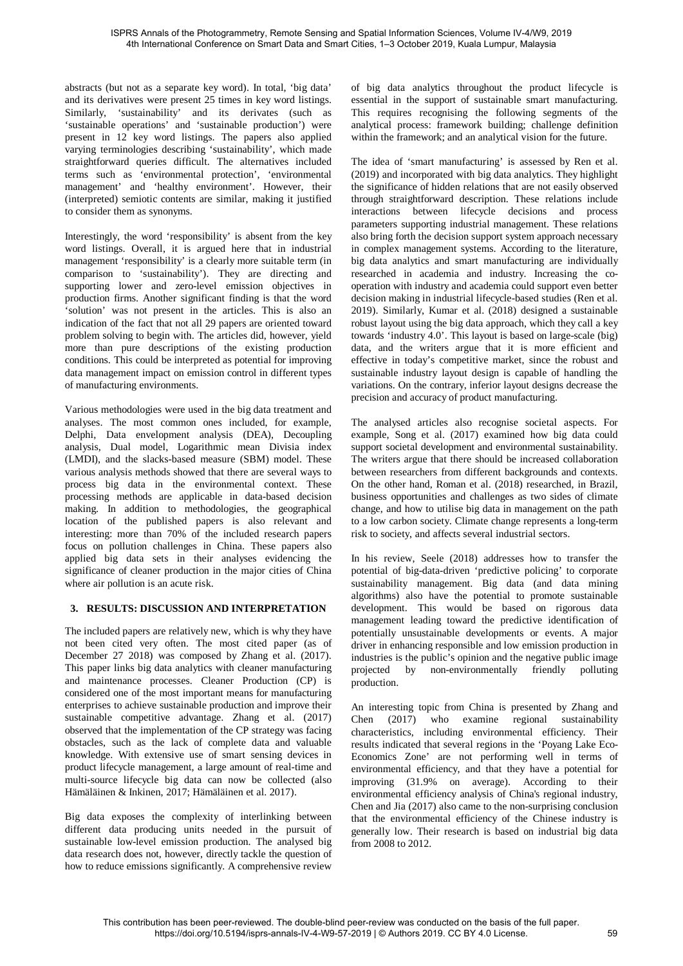abstracts (but not as a separate key word). In total, 'big data' and its derivatives were present 25 times in key word listings. Similarly, 'sustainability' and its derivates (such as 'sustainable operations' and 'sustainable production') were present in 12 key word listings. The papers also applied varying terminologies describing 'sustainability', which made straightforward queries difficult. The alternatives included terms such as 'environmental protection', 'environmental management' and 'healthy environment'. However, their (interpreted) semiotic contents are similar, making it justified to consider them as synonyms.

Interestingly, the word 'responsibility' is absent from the key word listings. Overall, it is argued here that in industrial management 'responsibility' is a clearly more suitable term (in comparison to 'sustainability'). They are directing and supporting lower and zero-level emission objectives in production firms. Another significant finding is that the word 'solution' was not present in the articles. This is also an indication of the fact that not all 29 papers are oriented toward problem solving to begin with. The articles did, however, yield more than pure descriptions of the existing production conditions. This could be interpreted as potential for improving data management impact on emission control in different types of manufacturing environments.

Various methodologies were used in the big data treatment and analyses. The most common ones included, for example, Delphi, Data envelopment analysis (DEA), Decoupling analysis, Dual model, Logarithmic mean Divisia index (LMDI), and the slacks-based measure (SBM) model. These various analysis methods showed that there are several ways to process big data in the environmental context. These processing methods are applicable in data-based decision making. In addition to methodologies, the geographical location of the published papers is also relevant and interesting: more than 70% of the included research papers focus on pollution challenges in China. These papers also applied big data sets in their analyses evidencing the significance of cleaner production in the major cities of China where air pollution is an acute risk.

### **3. RESULTS: DISCUSSION AND INTERPRETATION**

The included papers are relatively new, which is why they have not been cited very often. The most cited paper (as of December 27 2018) was composed by Zhang et al. (2017). This paper links big data analytics with cleaner manufacturing and maintenance processes. Cleaner Production (CP) is considered one of the most important means for manufacturing enterprises to achieve sustainable production and improve their sustainable competitive advantage. Zhang et al. (2017) observed that the implementation of the CP strategy was facing obstacles, such as the lack of complete data and valuable knowledge. With extensive use of smart sensing devices in product lifecycle management, a large amount of real-time and multi-source lifecycle big data can now be collected (also Hämäläinen & Inkinen, 2017; Hämäläinen et al. 2017).

Big data exposes the complexity of interlinking between different data producing units needed in the pursuit of sustainable low-level emission production. The analysed big data research does not, however, directly tackle the question of how to reduce emissions significantly. A comprehensive review

of big data analytics throughout the product lifecycle is essential in the support of sustainable smart manufacturing. This requires recognising the following segments of the analytical process: framework building; challenge definition within the framework; and an analytical vision for the future.

The idea of 'smart manufacturing' is assessed by Ren et al. (2019) and incorporated with big data analytics. They highlight the significance of hidden relations that are not easily observed through straightforward description. These relations include interactions between lifecycle decisions and process parameters supporting industrial management. These relations also bring forth the decision support system approach necessary in complex management systems. According to the literature, big data analytics and smart manufacturing are individually researched in academia and industry. Increasing the cooperation with industry and academia could support even better decision making in industrial lifecycle-based studies (Ren et al. 2019). Similarly, Kumar et al. (2018) designed a sustainable robust layout using the big data approach, which they call a key towards 'industry 4.0'. This layout is based on large-scale (big) data, and the writers argue that it is more efficient and effective in today's competitive market, since the robust and sustainable industry layout design is capable of handling the variations. On the contrary, inferior layout designs decrease the precision and accuracy of product manufacturing.

The analysed articles also recognise societal aspects. For example, Song et al. (2017) examined how big data could support societal development and environmental sustainability. The writers argue that there should be increased collaboration between researchers from different backgrounds and contexts. On the other hand, Roman et al. (2018) researched, in Brazil, business opportunities and challenges as two sides of climate change, and how to utilise big data in management on the path to a low carbon society. Climate change represents a long-term risk to society, and affects several industrial sectors.

In his review, Seele (2018) addresses how to transfer the potential of big-data-driven 'predictive policing' to corporate sustainability management. Big data (and data mining algorithms) also have the potential to promote sustainable development. This would be based on rigorous data management leading toward the predictive identification of potentially unsustainable developments or events. A major driver in enhancing responsible and low emission production in industries is the public's opinion and the negative public image projected by non-environmentally friendly polluting production.

An interesting topic from China is presented by Zhang and Chen (2017) who examine regional sustainability characteristics, including environmental efficiency. Their results indicated that several regions in the 'Poyang Lake Eco-Economics Zone' are not performing well in terms of environmental efficiency, and that they have a potential for improving (31.9% on average). According to their environmental efficiency analysis of China's regional industry, Chen and Jia (2017) also came to the non-surprising conclusion that the environmental efficiency of the Chinese industry is generally low. Their research is based on industrial big data from 2008 to 2012.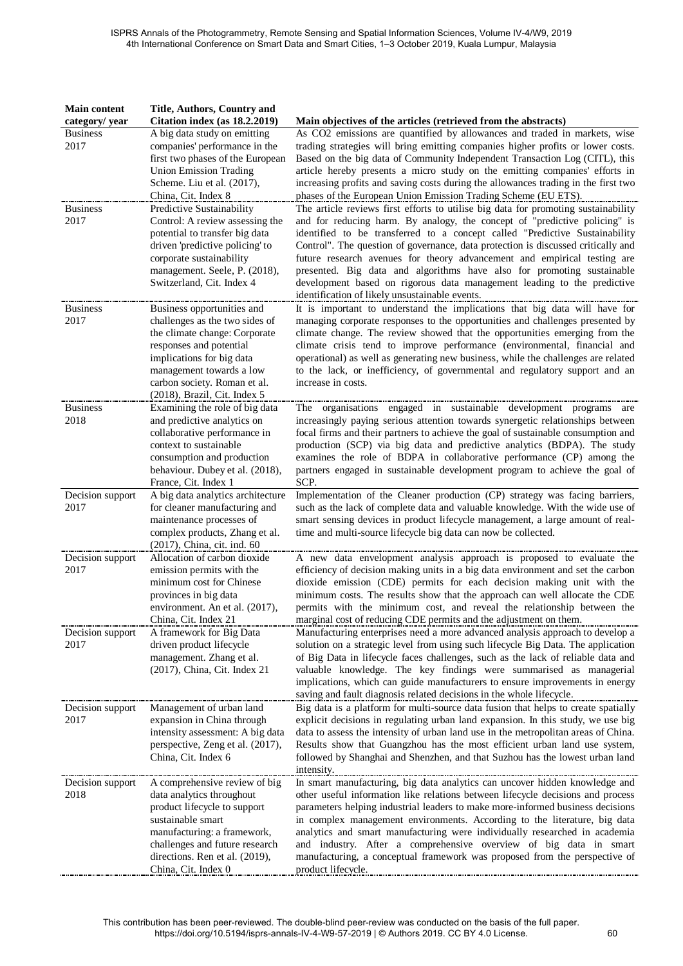| <b>Main content</b> | <b>Title, Authors, Country and</b>                        |                                                                                                                                                                  |
|---------------------|-----------------------------------------------------------|------------------------------------------------------------------------------------------------------------------------------------------------------------------|
| category/ year      | Citation index (as 18.2.2019)                             | Main objectives of the articles (retrieved from the abstracts)                                                                                                   |
| <b>Business</b>     | A big data study on emitting                              | As CO2 emissions are quantified by allowances and traded in markets, wise                                                                                        |
| 2017                | companies' performance in the                             | trading strategies will bring emitting companies higher profits or lower costs.                                                                                  |
|                     | first two phases of the European                          | Based on the big data of Community Independent Transaction Log (CITL), this                                                                                      |
|                     | <b>Union Emission Trading</b>                             | article hereby presents a micro study on the emitting companies' efforts in                                                                                      |
|                     | Scheme. Liu et al. (2017),                                | increasing profits and saving costs during the allowances trading in the first two<br>phases of the European Union Emission Trading Scheme (EU ETS).             |
| <b>Business</b>     | China, Cit. Index 8<br>Predictive Sustainability          | The article reviews first efforts to utilise big data for promoting sustainability                                                                               |
| 2017                | Control: A review assessing the                           | and for reducing harm. By analogy, the concept of "predictive policing" is                                                                                       |
|                     | potential to transfer big data                            | identified to be transferred to a concept called "Predictive Sustainability                                                                                      |
|                     | driven 'predictive policing' to                           | Control". The question of governance, data protection is discussed critically and                                                                                |
|                     | corporate sustainability                                  | future research avenues for theory advancement and empirical testing are                                                                                         |
|                     | management. Seele, P. (2018),                             | presented. Big data and algorithms have also for promoting sustainable                                                                                           |
|                     | Switzerland, Cit. Index 4                                 | development based on rigorous data management leading to the predictive                                                                                          |
|                     |                                                           | identification of likely unsustainable events.                                                                                                                   |
| <b>Business</b>     | Business opportunities and                                | It is important to understand the implications that big data will have for                                                                                       |
| 2017                | challenges as the two sides of                            | managing corporate responses to the opportunities and challenges presented by                                                                                    |
|                     | the climate change: Corporate                             | climate change. The review showed that the opportunities emerging from the                                                                                       |
|                     | responses and potential                                   | climate crisis tend to improve performance (environmental, financial and                                                                                         |
|                     | implications for big data                                 | operational) as well as generating new business, while the challenges are related                                                                                |
|                     | management towards a low<br>carbon society. Roman et al.  | to the lack, or inefficiency, of governmental and regulatory support and an<br>increase in costs.                                                                |
|                     | (2018), Brazil, Cit. Index 5                              |                                                                                                                                                                  |
| <b>Business</b>     | Examining the role of big data                            | The organisations engaged in sustainable development programs<br>are                                                                                             |
| 2018                | and predictive analytics on                               | increasingly paying serious attention towards synergetic relationships between                                                                                   |
|                     | collaborative performance in                              | focal firms and their partners to achieve the goal of sustainable consumption and                                                                                |
|                     | context to sustainable                                    | production (SCP) via big data and predictive analytics (BDPA). The study                                                                                         |
|                     | consumption and production                                | examines the role of BDPA in collaborative performance (CP) among the                                                                                            |
|                     | behaviour. Dubey et al. (2018),                           | partners engaged in sustainable development program to achieve the goal of                                                                                       |
|                     | France, Cit. Index 1                                      | SCP.                                                                                                                                                             |
| Decision support    | A big data analytics architecture                         | Implementation of the Cleaner production (CP) strategy was facing barriers,                                                                                      |
| 2017                | for cleaner manufacturing and<br>maintenance processes of | such as the lack of complete data and valuable knowledge. With the wide use of<br>smart sensing devices in product lifecycle management, a large amount of real- |
|                     | complex products, Zhang et al.                            | time and multi-source lifecycle big data can now be collected.                                                                                                   |
|                     | (2017), China, cit. ind. 60                               |                                                                                                                                                                  |
| Decision support    | Allocation of carbon dioxide                              | A new data envelopment analysis approach is proposed to evaluate the                                                                                             |
| 2017                | emission permits with the                                 | efficiency of decision making units in a big data environment and set the carbon                                                                                 |
|                     | minimum cost for Chinese                                  | dioxide emission (CDE) permits for each decision making unit with the                                                                                            |
|                     | provinces in big data                                     | minimum costs. The results show that the approach can well allocate the CDE                                                                                      |
|                     | environment. An et al. (2017),<br>China, Cit. Index 21    | permits with the minimum cost, and reveal the relationship between the<br>marginal cost of reducing CDE permits and the adjustment on them.                      |
| Decision support    | A framework for Big Data                                  | Manufacturing enterprises need a more advanced analysis approach to develop a                                                                                    |
| 2017                | driven product lifecycle                                  | solution on a strategic level from using such lifecycle Big Data. The application                                                                                |
|                     | management. Zhang et al.                                  | of Big Data in lifecycle faces challenges, such as the lack of reliable data and                                                                                 |
|                     | (2017), China, Cit. Index 21                              | valuable knowledge. The key findings were summarised as managerial                                                                                               |
|                     |                                                           | implications, which can guide manufacturers to ensure improvements in energy                                                                                     |
|                     |                                                           | saving and fault diagnosis related decisions in the whole lifecycle.                                                                                             |
| Decision support    | Management of urban land                                  | Big data is a platform for multi-source data fusion that helps to create spatially                                                                               |
| 2017                | expansion in China through                                | explicit decisions in regulating urban land expansion. In this study, we use big                                                                                 |
|                     | intensity assessment: A big data                          | data to assess the intensity of urban land use in the metropolitan areas of China.                                                                               |
|                     | perspective, Zeng et al. (2017),                          | Results show that Guangzhou has the most efficient urban land use system,                                                                                        |
|                     | China, Cit. Index 6                                       | followed by Shanghai and Shenzhen, and that Suzhou has the lowest urban land                                                                                     |
| Decision support    | <br>A comprehensive review of big                         | intensity.<br>In smart manufacturing, big data analytics can uncover hidden knowledge and                                                                        |
| 2018                | data analytics throughout                                 | other useful information like relations between lifecycle decisions and process                                                                                  |
|                     | product lifecycle to support                              | parameters helping industrial leaders to make more-informed business decisions                                                                                   |
|                     | sustainable smart                                         | in complex management environments. According to the literature, big data                                                                                        |
|                     | manufacturing: a framework,                               | analytics and smart manufacturing were individually researched in academia                                                                                       |
|                     | challenges and future research                            | and industry. After a comprehensive overview of big data in smart                                                                                                |
|                     | directions. Ren et al. (2019),                            | manufacturing, a conceptual framework was proposed from the perspective of                                                                                       |
|                     | China, Cit. Index 0                                       | product lifecycle.                                                                                                                                               |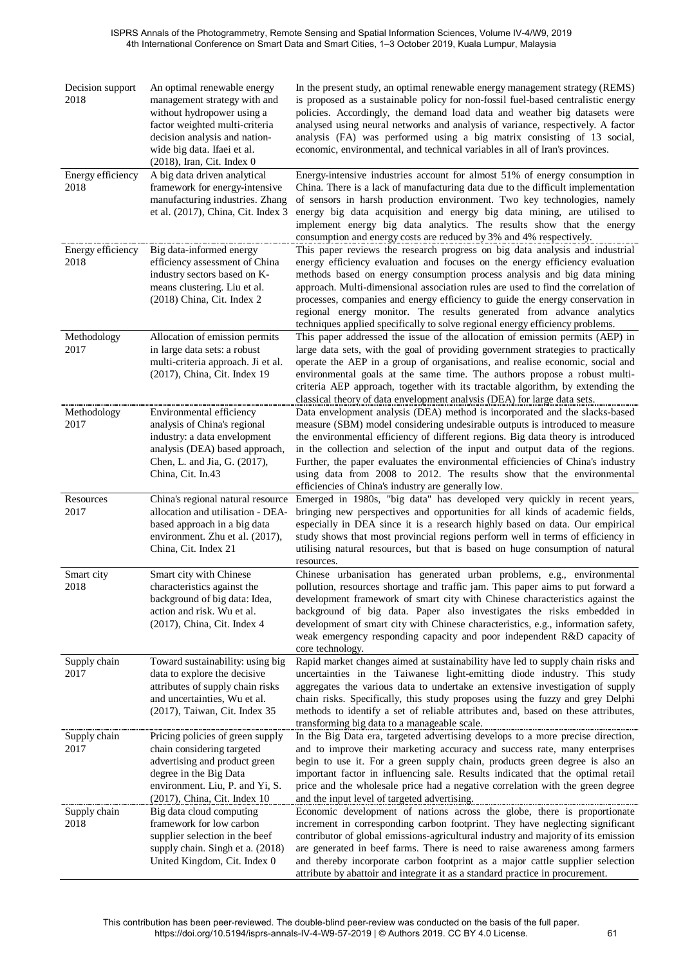| Decision support<br>2018  | An optimal renewable energy<br>management strategy with and<br>without hydropower using a<br>factor weighted multi-criteria<br>decision analysis and nation-<br>wide big data. Ifaei et al.<br>(2018), Iran, Cit. Index 0 | In the present study, an optimal renewable energy management strategy (REMS)<br>is proposed as a sustainable policy for non-fossil fuel-based centralistic energy<br>policies. Accordingly, the demand load data and weather big datasets were<br>analysed using neural networks and analysis of variance, respectively. A factor<br>analysis (FA) was performed using a big matrix consisting of 13 social,<br>economic, environmental, and technical variables in all of Iran's provinces.                                                                              |
|---------------------------|---------------------------------------------------------------------------------------------------------------------------------------------------------------------------------------------------------------------------|---------------------------------------------------------------------------------------------------------------------------------------------------------------------------------------------------------------------------------------------------------------------------------------------------------------------------------------------------------------------------------------------------------------------------------------------------------------------------------------------------------------------------------------------------------------------------|
| Energy efficiency<br>2018 | A big data driven analytical<br>framework for energy-intensive<br>manufacturing industries. Zhang<br>et al. (2017), China, Cit. Index 3                                                                                   | Energy-intensive industries account for almost 51% of energy consumption in<br>China. There is a lack of manufacturing data due to the difficult implementation<br>of sensors in harsh production environment. Two key technologies, namely<br>energy big data acquisition and energy big data mining, are utilised to<br>implement energy big data analytics. The results show that the energy<br>consumption and energy costs are reduced by 3% and 4% respectively.                                                                                                    |
| Energy efficiency<br>2018 | Big data-informed energy<br>efficiency assessment of China<br>industry sectors based on K-<br>means clustering. Liu et al.<br>(2018) China, Cit. Index 2                                                                  | This paper reviews the research progress on big data analysis and industrial<br>energy efficiency evaluation and focuses on the energy efficiency evaluation<br>methods based on energy consumption process analysis and big data mining<br>approach. Multi-dimensional association rules are used to find the correlation of<br>processes, companies and energy efficiency to guide the energy conservation in<br>regional energy monitor. The results generated from advance analytics<br>techniques applied specifically to solve regional energy efficiency problems. |
| Methodology<br>2017       | Allocation of emission permits<br>in large data sets: a robust<br>multi-criteria approach. Ji et al.<br>(2017), China, Cit. Index 19                                                                                      | This paper addressed the issue of the allocation of emission permits (AEP) in<br>large data sets, with the goal of providing government strategies to practically<br>operate the AEP in a group of organisations, and realise economic, social and<br>environmental goals at the same time. The authors propose a robust multi-<br>criteria AEP approach, together with its tractable algorithm, by extending the<br>classical theory of data envelopment analysis (DEA) for large data sets.                                                                             |
| Methodology<br>2017       | Environmental efficiency<br>analysis of China's regional<br>industry: a data envelopment<br>analysis (DEA) based approach,<br>Chen, L. and Jia, G. (2017),<br>China, Cit. In.43                                           | Data envelopment analysis (DEA) method is incorporated and the slacks-based<br>measure (SBM) model considering undesirable outputs is introduced to measure<br>the environmental efficiency of different regions. Big data theory is introduced<br>in the collection and selection of the input and output data of the regions.<br>Further, the paper evaluates the environmental efficiencies of China's industry<br>using data from 2008 to 2012. The results show that the environmental<br>efficiencies of China's industry are generally low.                        |
| Resources<br>2017         | China's regional natural resource<br>allocation and utilisation - DEA-<br>based approach in a big data<br>environment. Zhu et al. (2017),<br>China, Cit. Index 21                                                         | Emerged in 1980s, "big data" has developed very quickly in recent years,<br>bringing new perspectives and opportunities for all kinds of academic fields,<br>especially in DEA since it is a research highly based on data. Our empirical<br>study shows that most provincial regions perform well in terms of efficiency in<br>utilising natural resources, but that is based on huge consumption of natural<br>resources.                                                                                                                                               |
| Smart city<br>2018        | Smart city with Chinese<br>characteristics against the<br>background of big data: Idea,<br>action and risk. Wu et al.<br>(2017), China, Cit. Index 4                                                                      | Chinese urbanisation has generated urban problems, e.g., environmental<br>pollution, resources shortage and traffic jam. This paper aims to put forward a<br>development framework of smart city with Chinese characteristics against the<br>background of big data. Paper also investigates the risks embedded in<br>development of smart city with Chinese characteristics, e.g., information safety,<br>weak emergency responding capacity and poor independent R&D capacity of<br>core technology.                                                                    |
| Supply chain<br>2017      | Toward sustainability: using big<br>data to explore the decisive<br>attributes of supply chain risks<br>and uncertainties, Wu et al.<br>(2017), Taiwan, Cit. Index 35                                                     | Rapid market changes aimed at sustainability have led to supply chain risks and<br>uncertainties in the Taiwanese light-emitting diode industry. This study<br>aggregates the various data to undertake an extensive investigation of supply<br>chain risks. Specifically, this study proposes using the fuzzy and grey Delphi<br>methods to identify a set of reliable attributes and, based on these attributes,<br>transforming big data to a manageable scale.                                                                                                        |
| Supply chain<br>2017      | Pricing policies of green supply<br>chain considering targeted<br>advertising and product green<br>degree in the Big Data<br>environment. Liu, P. and Yi, S.<br>(2017), China, Cit. Index 10                              | In the Big Data era, targeted advertising develops to a more precise direction,<br>and to improve their marketing accuracy and success rate, many enterprises<br>begin to use it. For a green supply chain, products green degree is also an<br>important factor in influencing sale. Results indicated that the optimal retail<br>price and the wholesale price had a negative correlation with the green degree<br>and the input level of targeted advertising.                                                                                                         |
| Supply chain<br>2018      | Big data cloud computing<br>framework for low carbon<br>supplier selection in the beef<br>supply chain. Singh et a. (2018)<br>United Kingdom, Cit. Index 0                                                                | Economic development of nations across the globe, there is proportionate<br>increment in corresponding carbon footprint. They have neglecting significant<br>contributor of global emissions-agricultural industry and majority of its emission<br>are generated in beef farms. There is need to raise awareness among farmers<br>and thereby incorporate carbon footprint as a major cattle supplier selection<br>attribute by abattoir and integrate it as a standard practice in procurement.                                                                          |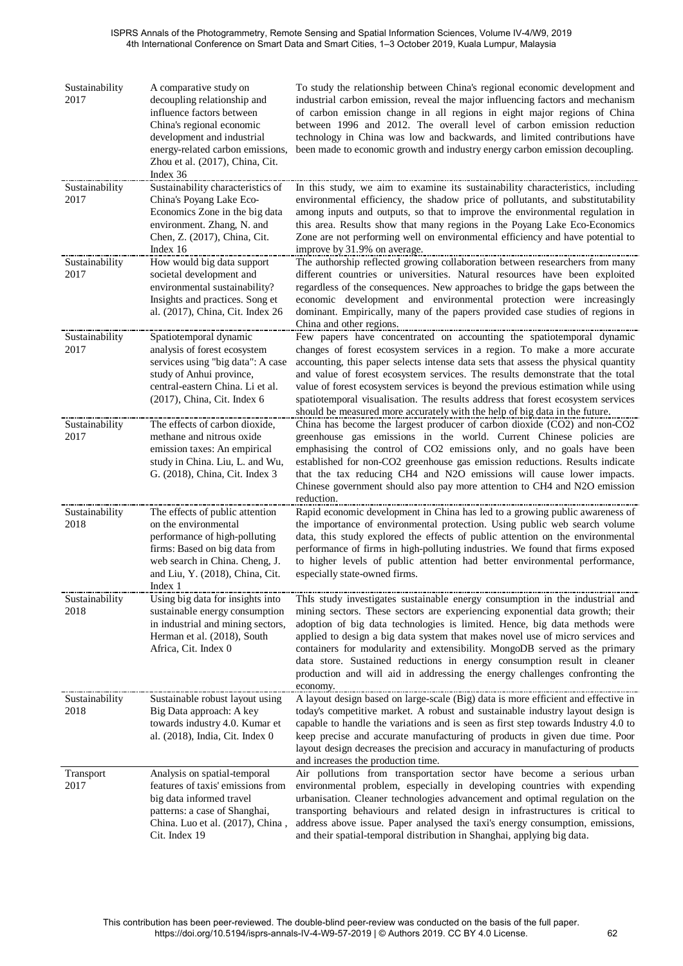| Sustainability<br>2017 | A comparative study on<br>decoupling relationship and<br>influence factors between<br>China's regional economic<br>development and industrial<br>energy-related carbon emissions,<br>Zhou et al. (2017), China, Cit.<br>Index 36 | To study the relationship between China's regional economic development and<br>industrial carbon emission, reveal the major influencing factors and mechanism<br>of carbon emission change in all regions in eight major regions of China<br>between 1996 and 2012. The overall level of carbon emission reduction<br>technology in China was low and backwards, and limited contributions have<br>been made to economic growth and industry energy carbon emission decoupling.                                                                                                    |
|------------------------|----------------------------------------------------------------------------------------------------------------------------------------------------------------------------------------------------------------------------------|------------------------------------------------------------------------------------------------------------------------------------------------------------------------------------------------------------------------------------------------------------------------------------------------------------------------------------------------------------------------------------------------------------------------------------------------------------------------------------------------------------------------------------------------------------------------------------|
| Sustainability<br>2017 | Sustainability characteristics of<br>China's Poyang Lake Eco-<br>Economics Zone in the big data<br>environment. Zhang, N. and<br>Chen, Z. (2017), China, Cit.<br>Index 16                                                        | In this study, we aim to examine its sustainability characteristics, including<br>environmental efficiency, the shadow price of pollutants, and substitutability<br>among inputs and outputs, so that to improve the environmental regulation in<br>this area. Results show that many regions in the Poyang Lake Eco-Economics<br>Zone are not performing well on environmental efficiency and have potential to<br>improve by 31.9% on average.                                                                                                                                   |
| Sustainability<br>2017 | How would big data support<br>societal development and<br>environmental sustainability?<br>Insights and practices. Song et<br>al. (2017), China, Cit. Index 26                                                                   | The authorship reflected growing collaboration between researchers from many<br>different countries or universities. Natural resources have been exploited<br>regardless of the consequences. New approaches to bridge the gaps between the<br>economic development and environmental protection were increasingly<br>dominant. Empirically, many of the papers provided case studies of regions in<br>China and other regions.                                                                                                                                                    |
| Sustainability<br>2017 | Spatiotemporal dynamic<br>analysis of forest ecosystem<br>services using "big data": A case<br>study of Anhui province,<br>central-eastern China. Li et al.<br>(2017), China, Cit. Index 6                                       | Few papers have concentrated on accounting the spatiotemporal dynamic<br>changes of forest ecosystem services in a region. To make a more accurate<br>accounting, this paper selects intense data sets that assess the physical quantity<br>and value of forest ecosystem services. The results demonstrate that the total<br>value of forest ecosystem services is beyond the previous estimation while using<br>spatiotemporal visualisation. The results address that forest ecosystem services<br>should be measured more accurately with the help of big data in the future.  |
| Sustainability<br>2017 | The effects of carbon dioxide,<br>methane and nitrous oxide<br>emission taxes: An empirical<br>study in China. Liu, L. and Wu,<br>G. (2018), China, Cit. Index 3                                                                 | China has become the largest producer of carbon dioxide (CO2) and non-CO2<br>greenhouse gas emissions in the world. Current Chinese policies are<br>emphasising the control of CO2 emissions only, and no goals have been<br>established for non-CO2 greenhouse gas emission reductions. Results indicate<br>that the tax reducing CH4 and N2O emissions will cause lower impacts.<br>Chinese government should also pay more attention to CH4 and N2O emission<br>reduction.                                                                                                      |
| Sustainability<br>2018 | The effects of public attention<br>on the environmental<br>performance of high-polluting<br>firms: Based on big data from<br>web search in China. Cheng, J.<br>and Liu, Y. (2018), China, Cit.<br>Index 1                        | Rapid economic development in China has led to a growing public awareness of<br>the importance of environmental protection. Using public web search volume<br>data, this study explored the effects of public attention on the environmental<br>performance of firms in high-polluting industries. We found that firms exposed<br>to higher levels of public attention had better environmental performance,<br>especially state-owned firms.                                                                                                                                      |
| Sustainability<br>2018 | Using big data for insights into<br>sustainable energy consumption<br>in industrial and mining sectors,<br>Herman et al. (2018), South<br>Africa, Cit. Index 0                                                                   | ThIs study investigates sustainable energy consumption in the industrial and<br>mining sectors. These sectors are experiencing exponential data growth; their<br>adoption of big data technologies is limited. Hence, big data methods were<br>applied to design a big data system that makes novel use of micro services and<br>containers for modularity and extensibility. MongoDB served as the primary<br>data store. Sustained reductions in energy consumption result in cleaner<br>production and will aid in addressing the energy challenges confronting the<br>economy. |
| Sustainability<br>2018 | Sustainable robust layout using<br>Big Data approach: A key<br>towards industry 4.0. Kumar et<br>al. (2018), India, Cit. Index 0                                                                                                 | A layout design based on large-scale (Big) data is more efficient and effective in<br>today's competitive market. A robust and sustainable industry layout design is<br>capable to handle the variations and is seen as first step towards Industry 4.0 to<br>keep precise and accurate manufacturing of products in given due time. Poor<br>layout design decreases the precision and accuracy in manufacturing of products<br>and increases the production time.                                                                                                                 |
| Transport<br>2017      | Analysis on spatial-temporal<br>features of taxis' emissions from<br>big data informed travel<br>patterns: a case of Shanghai,<br>China. Luo et al. (2017), China,<br>Cit. Index 19                                              | Air pollutions from transportation sector have become a serious urban<br>environmental problem, especially in developing countries with expending<br>urbanisation. Cleaner technologies advancement and optimal regulation on the<br>transporting behaviours and related design in infrastructures is critical to<br>address above issue. Paper analysed the taxi's energy consumption, emissions,<br>and their spatial-temporal distribution in Shanghai, applying big data.                                                                                                      |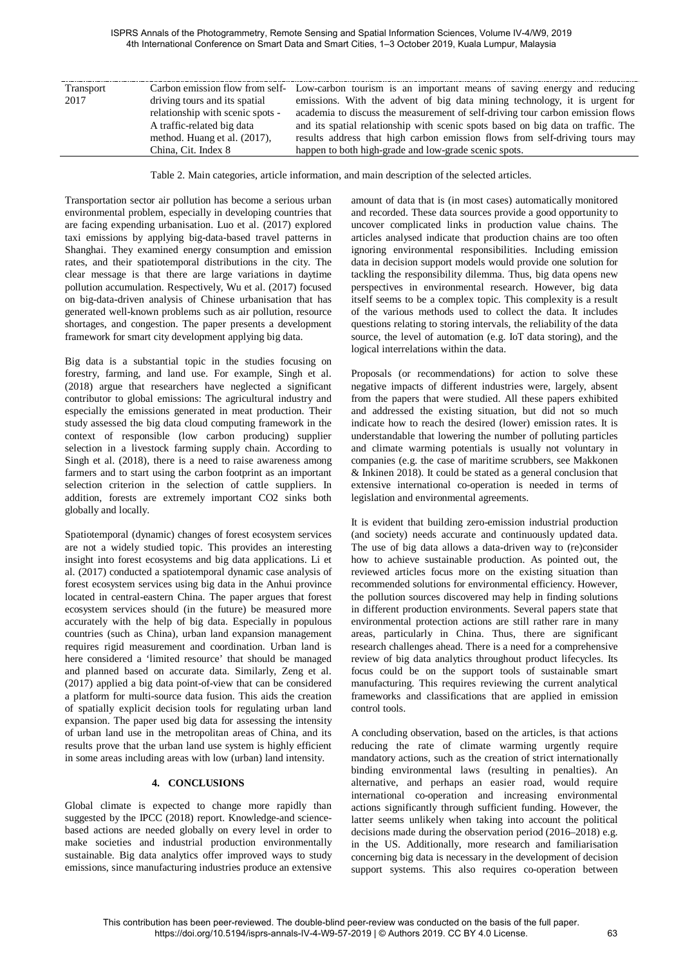| Transport |                                  | Carbon emission flow from self- Low-carbon tourism is an important means of saving energy and reducing |
|-----------|----------------------------------|--------------------------------------------------------------------------------------------------------|
| 2017      | driving tours and its spatial    | emissions. With the advent of big data mining technology, it is urgent for                             |
|           | relationship with scenic spots - | academia to discuss the measurement of self-driving tour carbon emission flows                         |
|           | A traffic-related big data       | and its spatial relationship with scenic spots based on big data on traffic. The                       |
|           | method. Huang et al. (2017),     | results address that high carbon emission flows from self-driving tours may                            |
|           | China, Cit. Index 8              | happen to both high-grade and low-grade scenic spots.                                                  |

Table 2. Main categories, article information, and main description of the selected articles.

Transportation sector air pollution has become a serious urban environmental problem, especially in developing countries that are facing expending urbanisation. Luo et al. (2017) explored taxi emissions by applying big-data-based travel patterns in Shanghai. They examined energy consumption and emission rates, and their spatiotemporal distributions in the city. The clear message is that there are large variations in daytime pollution accumulation. Respectively, Wu et al. (2017) focused on big-data-driven analysis of Chinese urbanisation that has generated well-known problems such as air pollution, resource shortages, and congestion. The paper presents a development framework for smart city development applying big data.

Big data is a substantial topic in the studies focusing on forestry, farming, and land use. For example, Singh et al. (2018) argue that researchers have neglected a significant contributor to global emissions: The agricultural industry and especially the emissions generated in meat production. Their study assessed the big data cloud computing framework in the context of responsible (low carbon producing) supplier selection in a livestock farming supply chain. According to Singh et al. (2018), there is a need to raise awareness among farmers and to start using the carbon footprint as an important selection criterion in the selection of cattle suppliers. In addition, forests are extremely important CO2 sinks both globally and locally.

Spatiotemporal (dynamic) changes of forest ecosystem services are not a widely studied topic. This provides an interesting insight into forest ecosystems and big data applications. Li et al. (2017) conducted a spatiotemporal dynamic case analysis of forest ecosystem services using big data in the Anhui province located in central-eastern China. The paper argues that forest ecosystem services should (in the future) be measured more accurately with the help of big data. Especially in populous countries (such as China), urban land expansion management requires rigid measurement and coordination. Urban land is here considered a 'limited resource' that should be managed and planned based on accurate data. Similarly, Zeng et al. (2017) applied a big data point-of-view that can be considered a platform for multi-source data fusion. This aids the creation of spatially explicit decision tools for regulating urban land expansion. The paper used big data for assessing the intensity of urban land use in the metropolitan areas of China, and its results prove that the urban land use system is highly efficient in some areas including areas with low (urban) land intensity.

## **4. CONCLUSIONS**

Global climate is expected to change more rapidly than suggested by the IPCC (2018) report. Knowledge-and sciencebased actions are needed globally on every level in order to make societies and industrial production environmentally sustainable. Big data analytics offer improved ways to study emissions, since manufacturing industries produce an extensive

amount of data that is (in most cases) automatically monitored and recorded. These data sources provide a good opportunity to uncover complicated links in production value chains. The articles analysed indicate that production chains are too often ignoring environmental responsibilities. Including emission data in decision support models would provide one solution for tackling the responsibility dilemma. Thus, big data opens new perspectives in environmental research. However, big data itself seems to be a complex topic. This complexity is a result of the various methods used to collect the data. It includes questions relating to storing intervals, the reliability of the data source, the level of automation (e.g. IoT data storing), and the logical interrelations within the data.

Proposals (or recommendations) for action to solve these negative impacts of different industries were, largely, absent from the papers that were studied. All these papers exhibited and addressed the existing situation, but did not so much indicate how to reach the desired (lower) emission rates. It is understandable that lowering the number of polluting particles and climate warming potentials is usually not voluntary in companies (e.g. the case of maritime scrubbers, see Makkonen & Inkinen 2018). It could be stated as a general conclusion that extensive international co-operation is needed in terms of legislation and environmental agreements.

It is evident that building zero-emission industrial production (and society) needs accurate and continuously updated data. The use of big data allows a data-driven way to (re)consider how to achieve sustainable production. As pointed out, the reviewed articles focus more on the existing situation than recommended solutions for environmental efficiency. However, the pollution sources discovered may help in finding solutions in different production environments. Several papers state that environmental protection actions are still rather rare in many areas, particularly in China. Thus, there are significant research challenges ahead. There is a need for a comprehensive review of big data analytics throughout product lifecycles. Its focus could be on the support tools of sustainable smart manufacturing. This requires reviewing the current analytical frameworks and classifications that are applied in emission control tools.

A concluding observation, based on the articles, is that actions reducing the rate of climate warming urgently require mandatory actions, such as the creation of strict internationally binding environmental laws (resulting in penalties). An alternative, and perhaps an easier road, would require international co-operation and increasing environmental actions significantly through sufficient funding. However, the latter seems unlikely when taking into account the political decisions made during the observation period (2016–2018) e.g. in the US. Additionally, more research and familiarisation concerning big data is necessary in the development of decision support systems. This also requires co-operation between